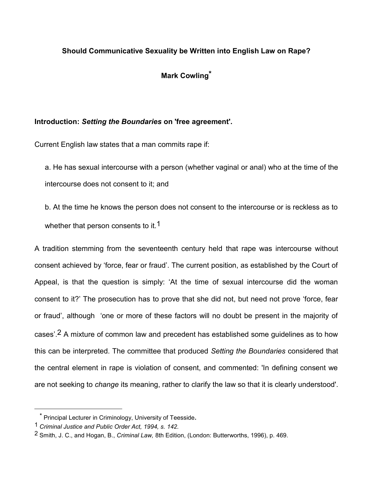## **Should Communicative Sexuality be Written into English Law on Rape?**

# **Mark Cowling\***

## **Introduction:** *Setting the Boundaries* **on 'free agreement'.**

Current English law states that a man commits rape if:

a. He has sexual intercourse with a person (whether vaginal or anal) who at the time of the intercourse does not consent to it; and

b. At the time he knows the person does not consent to the intercourse or is reckless as to whether that person consents to it.<sup>1</sup>

A tradition stemming from the seventeenth century held that rape was intercourse without consent achieved by "force, fear or fraud". The current position, as established by the Court of Appeal, is that the question is simply: "At the time of sexual intercourse did the woman consent to it?" The prosecution has to prove that she did not, but need not prove "force, fear or fraud", although "one or more of these factors will no doubt be present in the majority of cases".2 A mixture of common law and precedent has established some guidelines as to how this can be interpreted. The committee that produced *Setting the Boundaries* considered that the central element in rape is violation of consent, and commented: 'In defining consent we are not seeking to *change* its meaning, rather to clarify the law so that it is clearly understood'.

<sup>\*</sup> Principal Lecturer in Criminology, University of Teesside**.**

<sup>1</sup> *Criminal Justice and Public Order Act, 1994, s. 142.*

<sup>2</sup> Smith, J. C., and Hogan, B., *Criminal Law,* 8th Edition, (London: Butterworths, 1996), p. 469.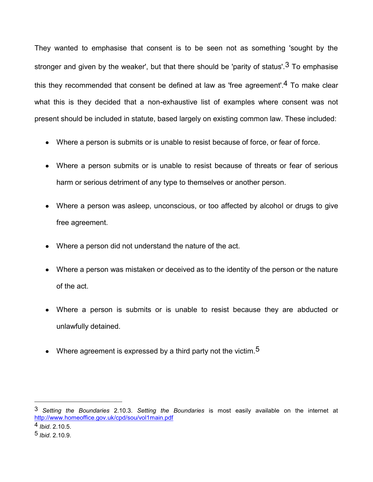They wanted to emphasise that consent is to be seen not as something 'sought by the stronger and given by the weaker', but that there should be 'parity of status'.<sup>3</sup> To emphasise this they recommended that consent be defined at law as 'free agreement'.<sup>4</sup> To make clear what this is they decided that a non-exhaustive list of examples where consent was not present should be included in statute, based largely on existing common law. These included:

- Where a person is submits or is unable to resist because of force, or fear of force.
- Where a person submits or is unable to resist because of threats or fear of serious harm or serious detriment of any type to themselves or another person.
- Where a person was asleep, unconscious, or too affected by alcohol or drugs to give free agreement.
- Where a person did not understand the nature of the act.
- Where a person was mistaken or deceived as to the identity of the person or the nature of the act.
- Where a person is submits or is unable to resist because they are abducted or unlawfully detained.
- Where agreement is expressed by a third party not the victim.<sup>5</sup>

<sup>3</sup> *Setting the Boundaries* 2.10.3. *Setting the Boundaries* is most easily available on the internet at <http://www.homeoffice.gov.uk/cpd/sou/vol1main.pdf>

<sup>4</sup> *Ibid*. 2.10.5.

<sup>5</sup> *Ibid*. 2.10.9.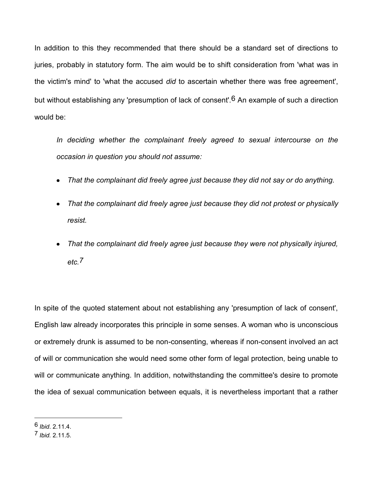In addition to this they recommended that there should be a standard set of directions to juries, probably in statutory form. The aim would be to shift consideration from 'what was in the victim's mind' to 'what the accused *did* to ascertain whether there was free agreement', but without establishing any 'presumption of lack of consent'.<sup>6</sup> An example of such a direction would be:

In deciding whether the complainant freely agreed to sexual intercourse on the *occasion in question you should not assume:* 

- *That the complainant did freely agree just because they did not say or do anything.*
- *That the complainant did freely agree just because they did not protest or physically*   $\bullet$ *resist.*
- *That the complainant did freely agree just because they were not physically injured, etc.7*

In spite of the quoted statement about not establishing any 'presumption of lack of consent', English law already incorporates this principle in some senses. A woman who is unconscious or extremely drunk is assumed to be non-consenting, whereas if non-consent involved an act of will or communication she would need some other form of legal protection, being unable to will or communicate anything. In addition, notwithstanding the committee's desire to promote the idea of sexual communication between equals, it is nevertheless important that a rather

<sup>6</sup> *Ibid*. 2.11.4.

<sup>7</sup> *Ibid.* 2.11.5.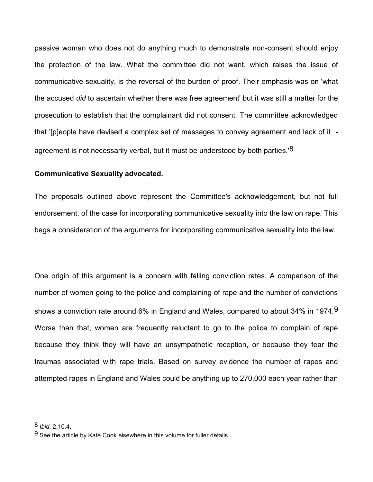passive woman who does not do anything much to demonstrate non-consent should enjoy the protection of the law. What the committee did not want, which raises the issue of communicative sexuality, is the reversal of the burden of proof. Their emphasis was on 'what the accused *did* to ascertain whether there was free agreement' but it was still a matter for the prosecution to establish that the complainant did not consent. The committee acknowledged that '[p]eople have devised a complex set of messages to convey agreement and lack of it agreement is not necessarily verbal, but it must be understood by both parties.<sup>'8</sup>

### **Communicative Sexuality advocated.**

The proposals outlined above represent the Committee's acknowledgement, but not full endorsement, of the case for incorporating communicative sexuality into the law on rape. This begs a consideration of the arguments for incorporating communicative sexuality into the law.

One origin of this argument is a concern with falling conviction rates. A comparison of the number of women going to the police and complaining of rape and the number of convictions shows a conviction rate around 6% in England and Wales, compared to about 34% in 1974.<sup>9</sup> Worse than that, women are frequently reluctant to go to the police to complain of rape because they think they will have an unsympathetic reception, or because they fear the traumas associated with rape trials. Based on survey evidence the number of rapes and attempted rapes in England and Wales could be anything up to 270,000 each year rather than

<sup>8</sup> *Ibid*. 2,10.4.

 $9$  See the article by Kate Cook elsewhere in this volume for fuller details.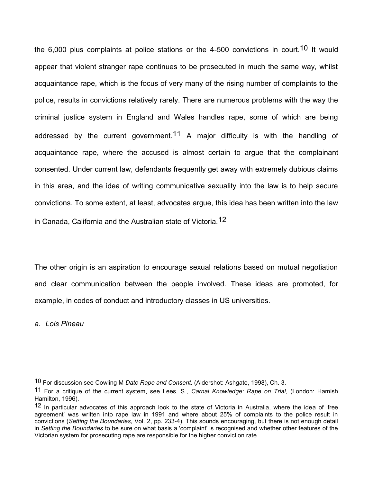the 6,000 plus complaints at police stations or the 4-500 convictions in court.<sup>10</sup> It would appear that violent stranger rape continues to be prosecuted in much the same way, whilst acquaintance rape, which is the focus of very many of the rising number of complaints to the police, results in convictions relatively rarely. There are numerous problems with the way the criminal justice system in England and Wales handles rape, some of which are being addressed by the current government.<sup>11</sup> A major difficulty is with the handling of acquaintance rape, where the accused is almost certain to argue that the complainant consented. Under current law, defendants frequently get away with extremely dubious claims in this area, and the idea of writing communicative sexuality into the law is to help secure convictions. To some extent, at least, advocates argue, this idea has been written into the law in Canada, California and the Australian state of Victoria.12

The other origin is an aspiration to encourage sexual relations based on mutual negotiation and clear communication between the people involved. These ideas are promoted, for example, in codes of conduct and introductory classes in US universities.

*a. Lois Pineau* 

<sup>10</sup> For discussion see Cowling M *Date Rape and Consent,* (Aldershot: Ashgate, 1998), Ch. 3.

<sup>11</sup> For a critique of the current system, see Lees, S., *Carnal Knowledge: Rape on Trial,* (London: Hamish Hamilton, 1996).

<sup>12</sup> In particular advocates of this approach look to the state of Victoria in Australia, where the idea of 'free agreement' was written into rape law in 1991 and where about 25% of complaints to the police result in convictions (*Setting the Boundaries*, Vol. 2, pp. 233-4). This sounds encouraging, but there is not enough detail in *Setting the Boundaries* to be sure on what basis a 'complaint' is recognised and whether other features of the Victorian system for prosecuting rape are responsible for the higher conviction rate.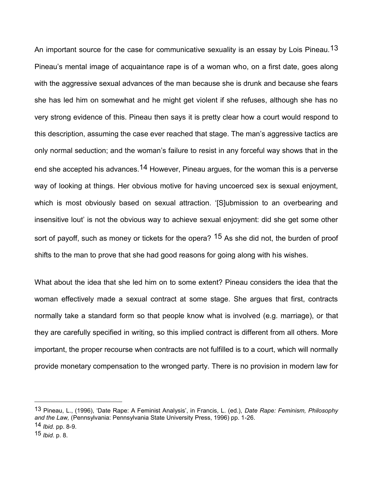An important source for the case for communicative sexuality is an essay by Lois Pineau.<sup>13</sup> Pineau"s mental image of acquaintance rape is of a woman who, on a first date, goes along with the aggressive sexual advances of the man because she is drunk and because she fears she has led him on somewhat and he might get violent if she refuses, although she has no very strong evidence of this. Pineau then says it is pretty clear how a court would respond to this description, assuming the case ever reached that stage. The man"s aggressive tactics are only normal seduction; and the woman"s failure to resist in any forceful way shows that in the end she accepted his advances.<sup>14</sup> However, Pineau argues, for the woman this is a perverse way of looking at things. Her obvious motive for having uncoerced sex is sexual enjoyment, which is most obviously based on sexual attraction. "[S]ubmission to an overbearing and insensitive lout' is not the obvious way to achieve sexual enjoyment: did she get some other sort of payoff, such as money or tickets for the opera?  $15$  As she did not, the burden of proof shifts to the man to prove that she had good reasons for going along with his wishes.

What about the idea that she led him on to some extent? Pineau considers the idea that the woman effectively made a sexual contract at some stage. She argues that first, contracts normally take a standard form so that people know what is involved (e.g. marriage), or that they are carefully specified in writing, so this implied contract is different from all others. More important, the proper recourse when contracts are not fulfilled is to a court, which will normally provide monetary compensation to the wronged party. There is no provision in modern law for

<sup>13</sup> Pineau, L., (1996), "Date Rape: A Feminist Analysis", in Francis, L. (ed.), *Date Rape: Feminism, Philosophy and the Law,* (Pennsylvania: Pennsylvania State University Press, 1996) pp. 1-26. 14 *Ibid.* pp. 8-9.

<sup>15</sup> *Ibid*. p. 8.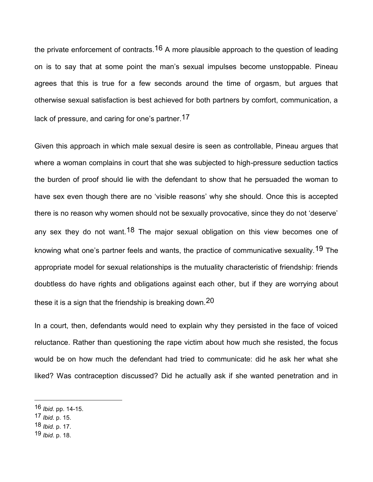the private enforcement of contracts.<sup>16</sup> A more plausible approach to the question of leading on is to say that at some point the man"s sexual impulses become unstoppable. Pineau agrees that this is true for a few seconds around the time of orgasm, but argues that otherwise sexual satisfaction is best achieved for both partners by comfort, communication, a lack of pressure, and caring for one's partner.<sup>17</sup>

Given this approach in which male sexual desire is seen as controllable, Pineau argues that where a woman complains in court that she was subjected to high-pressure seduction tactics the burden of proof should lie with the defendant to show that he persuaded the woman to have sex even though there are no 'visible reasons' why she should. Once this is accepted there is no reason why women should not be sexually provocative, since they do not "deserve" any sex they do not want.<sup>18</sup> The major sexual obligation on this view becomes one of knowing what one's partner feels and wants, the practice of communicative sexuality.<sup>19</sup> The appropriate model for sexual relationships is the mutuality characteristic of friendship: friends doubtless do have rights and obligations against each other, but if they are worrying about these it is a sign that the friendship is breaking down.20

In a court, then, defendants would need to explain why they persisted in the face of voiced reluctance. Rather than questioning the rape victim about how much she resisted, the focus would be on how much the defendant had tried to communicate: did he ask her what she liked? Was contraception discussed? Did he actually ask if she wanted penetration and in

- 18 *Ibid.* p. 17.
- 19 *Ibid*. p. 18.

<sup>16</sup> *Ibid*. pp. 14-15.

<sup>17</sup> *Ibid.* p. 15.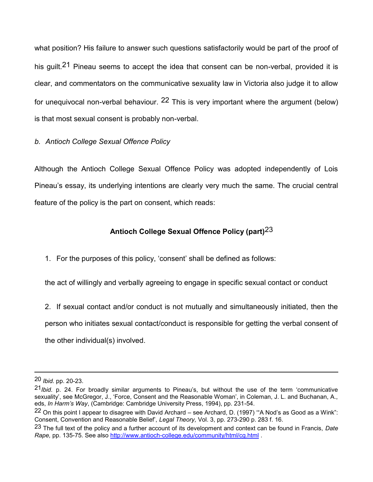what position? His failure to answer such questions satisfactorily would be part of the proof of his guilt.<sup>21</sup> Pineau seems to accept the idea that consent can be non-verbal, provided it is clear, and commentators on the communicative sexuality law in Victoria also judge it to allow for unequivocal non-verbal behaviour.  $22$  This is very important where the argument (below) is that most sexual consent is probably non-verbal.

## *b. Antioch College Sexual Offence Policy*

Although the Antioch College Sexual Offence Policy was adopted independently of Lois Pineau"s essay, its underlying intentions are clearly very much the same. The crucial central feature of the policy is the part on consent, which reads:

## **Antioch College Sexual Offence Policy (part)**23

1. For the purposes of this policy, "consent" shall be defined as follows:

the act of willingly and verbally agreeing to engage in specific sexual contact or conduct

2. If sexual contact and/or conduct is not mutually and simultaneously initiated, then the person who initiates sexual contact/conduct is responsible for getting the verbal consent of the other individual(s) involved.

<sup>20</sup> *Ibid.* pp. 20-23.

<sup>21</sup>*Ibid.* p. 24. For broadly similar arguments to Pineau"s, but without the use of the term "communicative sexuality", see McGregor, J., "Force, Consent and the Reasonable Woman", in Coleman, J. L. and Buchanan, A., eds, *In Harm's Way*, (Cambridge: Cambridge University Press, 1994), pp. 231-54.

 $22$  On this point I appear to disagree with David Archard – see Archard, D. (1997) "A Nod's as Good as a Wink": Consent, Convention and Reasonable Belief", *Legal Theory,* Vol. 3, pp. 273-290 p. 283 f. 16.

<sup>23</sup> The full text of the policy and a further account of its development and context can be found in Francis, *Date Rape,* pp. 135-75. See also<http://www.antioch-college.edu/community/html/cg.html>.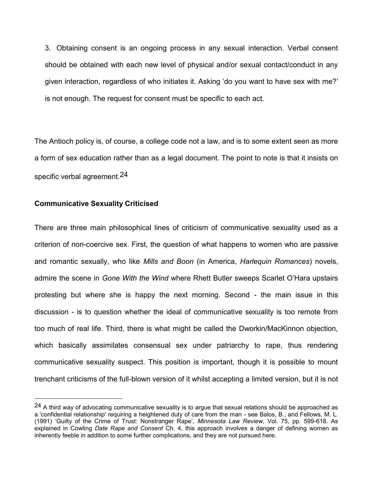3. Obtaining consent is an ongoing process in any sexual interaction. Verbal consent should be obtained with each new level of physical and/or sexual contact/conduct in any given interaction, regardless of who initiates it. Asking "do you want to have sex with me?" is not enough. The request for consent must be specific to each act.

The Antioch policy is, of course, a college code not a law, and is to some extent seen as more a form of sex education rather than as a legal document. The point to note is that it insists on specific verbal agreement.<sup>24</sup>

### **Communicative Sexuality Criticised**

 $\overline{a}$ 

There are three main philosophical lines of criticism of communicative sexuality used as a criterion of non-coercive sex. First, the question of what happens to women who are passive and romantic sexually, who like *Mills and Boon* (in America, *Harlequin Romances*) novels, admire the scene in *Gone With the Wind* where Rhett Butler sweeps Scarlet O"Hara upstairs protesting but where she is happy the next morning. Second - the main issue in this discussion - is to question whether the ideal of communicative sexuality is too remote from too much of real life. Third, there is what might be called the Dworkin/MacKinnon objection, which basically assimilates consensual sex under patriarchy to rape, thus rendering communicative sexuality suspect. This position is important, though it is possible to mount trenchant criticisms of the full-blown version of it whilst accepting a limited version, but it is not

 $24$  A third way of advocating communicative sexuality is to argue that sexual relations should be approached as a 'confidential relationship' requiring a heightened duty of care from the man - see Balos, B., and Fellows, M. L. (1991) "Guilty of the Crime of Trust: Nonstranger Rape", *Minnesota Law Review*, Vol. 75, pp. 599-618. As explained in Cowling *Date Rape and Consent* Ch. 4, this approach involves a danger of defining women as inherently feeble in addition to some further complications, and they are not pursued here.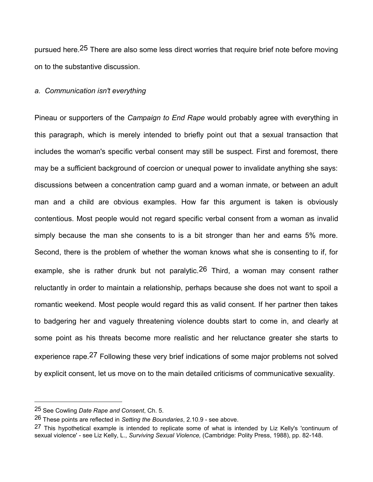pursued here.<sup>25</sup> There are also some less direct worries that require brief note before moving on to the substantive discussion.

## *a. Communication isn't everything*

Pineau or supporters of the *Campaign to End Rape* would probably agree with everything in this paragraph, which is merely intended to briefly point out that a sexual transaction that includes the woman's specific verbal consent may still be suspect. First and foremost, there may be a sufficient background of coercion or unequal power to invalidate anything she says: discussions between a concentration camp guard and a woman inmate, or between an adult man and a child are obvious examples. How far this argument is taken is obviously contentious. Most people would not regard specific verbal consent from a woman as invalid simply because the man she consents to is a bit stronger than her and earns 5% more. Second, there is the problem of whether the woman knows what she is consenting to if, for example, she is rather drunk but not paralytic.<sup>26</sup> Third, a woman may consent rather reluctantly in order to maintain a relationship, perhaps because she does not want to spoil a romantic weekend. Most people would regard this as valid consent. If her partner then takes to badgering her and vaguely threatening violence doubts start to come in, and clearly at some point as his threats become more realistic and her reluctance greater she starts to experience rape.<sup>27</sup> Following these very brief indications of some major problems not solved by explicit consent, let us move on to the main detailed criticisms of communicative sexuality.

<sup>25</sup> See Cowling *Date Rape and Consent*, Ch. 5.

<sup>26</sup> These points are reflected in *Setting the Boundaries*, 2.10.9 - see above.

 $27$  This hypothetical example is intended to replicate some of what is intended by Liz Kelly's 'continuum of sexual violence' - see Liz Kelly, L., *Surviving Sexual Violence,* (Cambridge: Polity Press, 1988), pp. 82-148.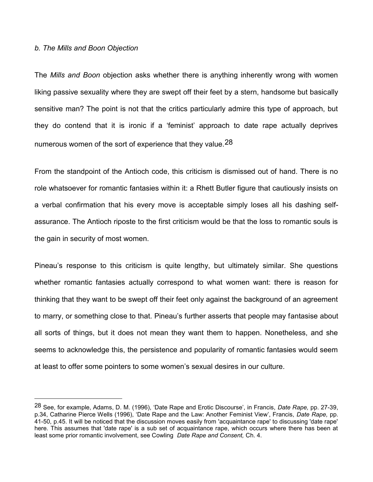### *b. The Mills and Boon Objection*

 $\overline{a}$ 

The *Mills and Boon* objection asks whether there is anything inherently wrong with women liking passive sexuality where they are swept off their feet by a stern, handsome but basically sensitive man? The point is not that the critics particularly admire this type of approach, but they do contend that it is ironic if a "feminist" approach to date rape actually deprives numerous women of the sort of experience that they value.<sup>28</sup>

From the standpoint of the Antioch code, this criticism is dismissed out of hand. There is no role whatsoever for romantic fantasies within it: a Rhett Butler figure that cautiously insists on a verbal confirmation that his every move is acceptable simply loses all his dashing selfassurance. The Antioch riposte to the first criticism would be that the loss to romantic souls is the gain in security of most women.

Pineau"s response to this criticism is quite lengthy, but ultimately similar. She questions whether romantic fantasies actually correspond to what women want: there is reason for thinking that they want to be swept off their feet only against the background of an agreement to marry, or something close to that. Pineau"s further asserts that people may fantasise about all sorts of things, but it does not mean they want them to happen. Nonetheless, and she seems to acknowledge this, the persistence and popularity of romantic fantasies would seem at least to offer some pointers to some women"s sexual desires in our culture.

<sup>28</sup> See, for example, Adams, D. M. (1996), "Date Rape and Erotic Discourse", in Francis, *Date Rape,* pp. 27-39, p.34, Catharine Pierce Wells (1996), "Date Rape and the Law: Another Feminist View", Francis, *Date Rape,* pp. 41-50, p.45. It will be noticed that the discussion moves easily from 'acquaintance rape' to discussing 'date rape' here. This assumes that 'date rape' is a sub set of acquaintance rape, which occurs where there has been at least some prior romantic involvement, see Cowling *Date Rape and Consent,* Ch. 4.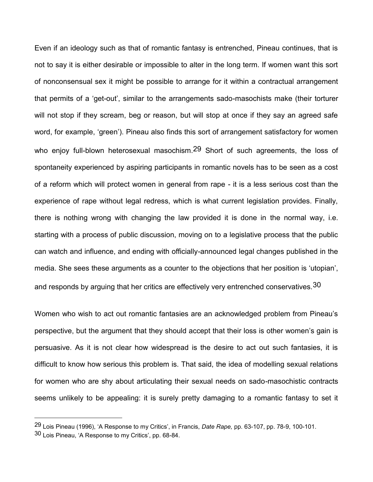Even if an ideology such as that of romantic fantasy is entrenched, Pineau continues, that is not to say it is either desirable or impossible to alter in the long term. If women want this sort of nonconsensual sex it might be possible to arrange for it within a contractual arrangement that permits of a "get-out", similar to the arrangements sado-masochists make (their torturer will not stop if they scream, beg or reason, but will stop at once if they say an agreed safe word, for example, "green"). Pineau also finds this sort of arrangement satisfactory for women who enjoy full-blown heterosexual masochism.<sup>29</sup> Short of such agreements, the loss of spontaneity experienced by aspiring participants in romantic novels has to be seen as a cost of a reform which will protect women in general from rape - it is a less serious cost than the experience of rape without legal redress, which is what current legislation provides. Finally, there is nothing wrong with changing the law provided it is done in the normal way, i.e. starting with a process of public discussion, moving on to a legislative process that the public can watch and influence, and ending with officially-announced legal changes published in the media. She sees these arguments as a counter to the objections that her position is "utopian", and responds by arguing that her critics are effectively very entrenched conservatives. 30

Women who wish to act out romantic fantasies are an acknowledged problem from Pineau"s perspective, but the argument that they should accept that their loss is other women"s gain is persuasive. As it is not clear how widespread is the desire to act out such fantasies, it is difficult to know how serious this problem is. That said, the idea of modelling sexual relations for women who are shy about articulating their sexual needs on sado-masochistic contracts seems unlikely to be appealing: it is surely pretty damaging to a romantic fantasy to set it

<sup>29</sup> Lois Pineau (1996), "A Response to my Critics", in Francis, *Date Rape,* pp. 63-107, pp. 78-9, 100-101. 30 Lois Pineau, 'A Response to my Critics', pp. 68-84.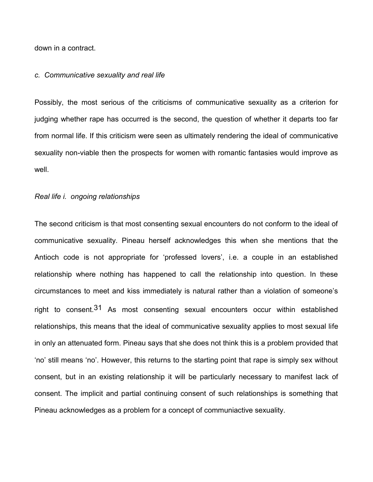down in a contract.

#### *c. Communicative sexuality and real life*

Possibly, the most serious of the criticisms of communicative sexuality as a criterion for judging whether rape has occurred is the second, the question of whether it departs too far from normal life. If this criticism were seen as ultimately rendering the ideal of communicative sexuality non-viable then the prospects for women with romantic fantasies would improve as well.

#### *Real life i. ongoing relationships*

The second criticism is that most consenting sexual encounters do not conform to the ideal of communicative sexuality. Pineau herself acknowledges this when she mentions that the Antioch code is not appropriate for 'professed lovers', i.e. a couple in an established relationship where nothing has happened to call the relationship into question. In these circumstances to meet and kiss immediately is natural rather than a violation of someone"s right to consent.31 As most consenting sexual encounters occur within established relationships, this means that the ideal of communicative sexuality applies to most sexual life in only an attenuated form. Pineau says that she does not think this is a problem provided that "no" still means "no". However, this returns to the starting point that rape is simply sex without consent, but in an existing relationship it will be particularly necessary to manifest lack of consent. The implicit and partial continuing consent of such relationships is something that Pineau acknowledges as a problem for a concept of communiactive sexuality.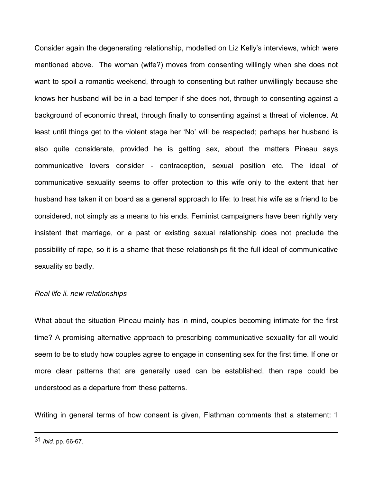Consider again the degenerating relationship, modelled on Liz Kelly"s interviews, which were mentioned above. The woman (wife?) moves from consenting willingly when she does not want to spoil a romantic weekend, through to consenting but rather unwillingly because she knows her husband will be in a bad temper if she does not, through to consenting against a background of economic threat, through finally to consenting against a threat of violence. At least until things get to the violent stage her "No" will be respected; perhaps her husband is also quite considerate, provided he is getting sex, about the matters Pineau says communicative lovers consider - contraception, sexual position etc. The ideal of communicative sexuality seems to offer protection to this wife only to the extent that her husband has taken it on board as a general approach to life: to treat his wife as a friend to be considered, not simply as a means to his ends. Feminist campaigners have been rightly very insistent that marriage, or a past or existing sexual relationship does not preclude the possibility of rape, so it is a shame that these relationships fit the full ideal of communicative sexuality so badly.

### *Real life ii. new relationships*

What about the situation Pineau mainly has in mind, couples becoming intimate for the first time? A promising alternative approach to prescribing communicative sexuality for all would seem to be to study how couples agree to engage in consenting sex for the first time. If one or more clear patterns that are generally used can be established, then rape could be understood as a departure from these patterns.

Writing in general terms of how consent is given, Flathman comments that a statement: "I

31 *Ibid.* pp. 66-67.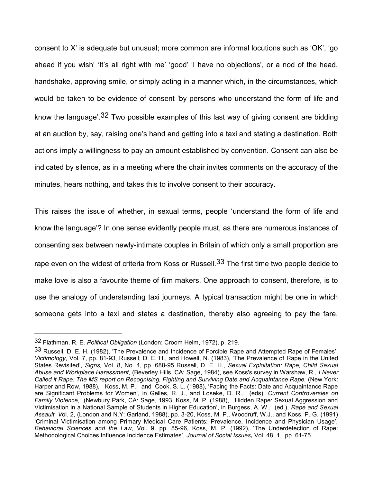consent to X" is adequate but unusual; more common are informal locutions such as "OK", "go ahead if you wish' 'It's all right with me' 'good' 'I have no objections', or a nod of the head, handshake, approving smile, or simply acting in a manner which, in the circumstances, which would be taken to be evidence of consent "by persons who understand the form of life and know the language'.<sup>32</sup> Two possible examples of this last way of giving consent are bidding at an auction by, say, raising one"s hand and getting into a taxi and stating a destination. Both actions imply a willingness to pay an amount established by convention. Consent can also be indicated by silence, as in a meeting where the chair invites comments on the accuracy of the minutes, hears nothing, and takes this to involve consent to their accuracy.

This raises the issue of whether, in sexual terms, people "understand the form of life and know the language"? In one sense evidently people must, as there are numerous instances of consenting sex between newly-intimate couples in Britain of which only a small proportion are rape even on the widest of criteria from Koss or Russell.<sup>33</sup> The first time two people decide to make love is also a favourite theme of film makers. One approach to consent, therefore, is to use the analogy of understanding taxi journeys. A typical transaction might be one in which someone gets into a taxi and states a destination, thereby also agreeing to pay the fare.

<sup>32</sup> Flathman, R. E. *Political Obligation* (London: Croom Helm, 1972), p. 219.

<sup>33</sup> Russell, D. E. H. (1982), 'The Prevalence and Incidence of Forcible Rape and Attempted Rape of Females', *Victimology*, Vol. 7, pp. 81-93, Russell, D. E. H., and Howell, N. (1983), "The Prevalence of Rape in the United States Revisited", *Signs,* Vol. 8, No. 4, pp. 688-95 Russell, D. E. H., *Sexual Exploitation: Rape, Child Sexual Abuse and Workplace Harassment,* (Beverley Hills, CA: Sage, 1984), see Koss's survey in Warshaw, R., *I Never Called it Rape: The MS report on Recognising, Fighting and Surviving Date and Acquaintance Rape,* (New York: Harper and Row, 1988), Koss, M. P., and Cook, S. L. (1988), "Facing the Facts: Date and Acquaintance Rape are Significant Problems for Women", in Gelles, R. J., and Loseke, D. R., (eds), *Current Controversies on Family Violence,* (Newbury Park, CA: Sage, 1993, Koss, M. P. (1988), "Hidden Rape: Sexual Aggression and Victimisation in a National Sample of Students in Higher Education", in Burgess, A. W., (ed.), *Rape and Sexual Assault, V*ol. 2, (London and N.Y: Garland, 1988), pp. 3-20, Koss, M. P., Woodruff, W.J., and Koss, P. G. (1991) "Criminal Victimisation among Primary Medical Care Patients: Prevalence, Incidence and Physician Usage", *Behavioral Sciences and the Law,* Vol. 9, pp. 85-96, Koss, M. P. (1992), "The Underdetection of Rape: Methodological Choices Influence Incidence Estimates", *Journal of Social Issues***,** Vol. 48, 1, pp. 61-75.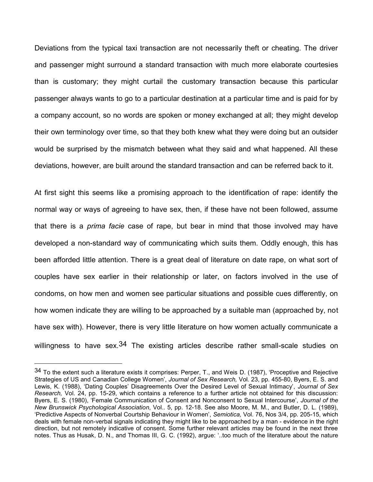Deviations from the typical taxi transaction are not necessarily theft or cheating. The driver and passenger might surround a standard transaction with much more elaborate courtesies than is customary; they might curtail the customary transaction because this particular passenger always wants to go to a particular destination at a particular time and is paid for by a company account, so no words are spoken or money exchanged at all; they might develop their own terminology over time, so that they both knew what they were doing but an outsider would be surprised by the mismatch between what they said and what happened. All these deviations, however, are built around the standard transaction and can be referred back to it.

At first sight this seems like a promising approach to the identification of rape: identify the normal way or ways of agreeing to have sex, then, if these have not been followed, assume that there is a *prima facie* case of rape, but bear in mind that those involved may have developed a non-standard way of communicating which suits them. Oddly enough, this has been afforded little attention. There is a great deal of literature on date rape, on what sort of couples have sex earlier in their relationship or later, on factors involved in the use of condoms, on how men and women see particular situations and possible cues differently, on how women indicate they are willing to be approached by a suitable man (approached by, not have sex with). However, there is very little literature on how women actually communicate a willingness to have sex.  $34$  The existing articles describe rather small-scale studies on

<sup>34</sup> To the extent such a literature exists it comprises: Perper, T., and Weis D. (1987), 'Proceptive and Rejective Strategies of US and Canadian College Women", *Journal of Sex Research,* Vol. 23, pp. 455-80, Byers, E. S. and Lewis, K. (1988), "Dating Couples" Disagreements Over the Desired Level of Sexual Intimacy", *Journal of Sex Research,* Vol. 24, pp. 15-29, which contains a reference to a further article not obtained for this discussion: Byers, E. S. (1980), "Female Communication of Consent and Nonconsent to Sexual Intercourse", *Journal of the New Brunswick Psychological Association*, Vol.. 5, pp. 12-18. See also Moore, M. M., and Butler, D. L. (1989), "Predictive Aspects of Nonverbal Courtship Behaviour in Women", *Semiotica,* Vol. 76, Nos 3/4, pp. 205-15, which deals with female non-verbal signals indicating they might like to be approached by a man - evidence in the right direction, but not remotely indicative of consent. Some further relevant articles may be found in the next three notes. Thus as Husak, D. N., and Thomas III, G. C. (1992), argue: "..too much of the literature about the nature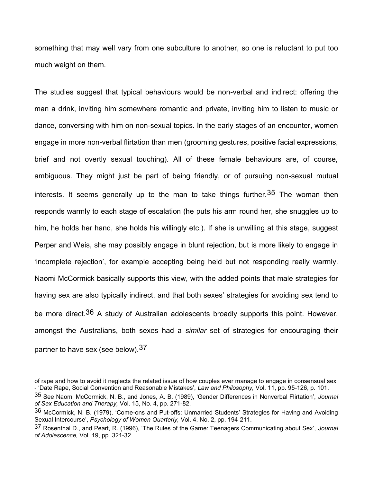something that may well vary from one subculture to another, so one is reluctant to put too much weight on them.

The studies suggest that typical behaviours would be non-verbal and indirect: offering the man a drink, inviting him somewhere romantic and private, inviting him to listen to music or dance, conversing with him on non-sexual topics. In the early stages of an encounter, women engage in more non-verbal flirtation than men (grooming gestures, positive facial expressions, brief and not overtly sexual touching). All of these female behaviours are, of course, ambiguous. They might just be part of being friendly, or of pursuing non-sexual mutual interests. It seems generally up to the man to take things further.<sup>35</sup> The woman then responds warmly to each stage of escalation (he puts his arm round her, she snuggles up to him, he holds her hand, she holds his willingly etc.). If she is unwilling at this stage, suggest Perper and Weis, she may possibly engage in blunt rejection, but is more likely to engage in "incomplete rejection", for example accepting being held but not responding really warmly. Naomi McCormick basically supports this view, with the added points that male strategies for having sex are also typically indirect, and that both sexes' strategies for avoiding sex tend to be more direct.<sup>36</sup> A study of Australian adolescents broadly supports this point. However, amongst the Australians, both sexes had a *similar* set of strategies for encouraging their partner to have sex (see below).  $37$ 

of rape and how to avoid it neglects the related issue of how couples ever manage to engage in consensual sex" - "Date Rape, Social Convention and Reasonable Mistakes", *Law and Philosophy,* Vol. 11, pp. 95-126, p. 101.

<sup>35</sup> See Naomi McCormick, N. B., and Jones, A. B. (1989), "Gender Differences in Nonverbal Flirtation", *Journal of Sex Education and Therapy,* Vol. 15, No. 4, pp. 271-82.

<sup>36</sup> McCormick, N. B. (1979), 'Come-ons and Put-offs: Unmarried Students' Strategies for Having and Avoiding Sexual Intercourse", *Psychology of Women Quarterly,* Vol. 4, No. 2, pp. 194-211.

<sup>37</sup> Rosenthal D., and Peart, R. (1996), "The Rules of the Game: Teenagers Communicating about Sex", *Journal of Adolescence,* Vol. 19, pp. 321-32.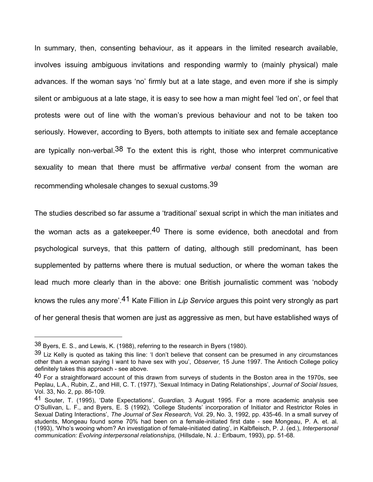In summary, then, consenting behaviour, as it appears in the limited research available, involves issuing ambiguous invitations and responding warmly to (mainly physical) male advances. If the woman says "no" firmly but at a late stage, and even more if she is simply silent or ambiguous at a late stage, it is easy to see how a man might feel "led on", or feel that protests were out of line with the woman"s previous behaviour and not to be taken too seriously. However, according to Byers, both attempts to initiate sex and female acceptance are typically non-verbal.<sup>38</sup> To the extent this is right, those who interpret communicative sexuality to mean that there must be affirmative *verbal* consent from the woman are recommending wholesale changes to sexual customs.<sup>39</sup>

The studies described so far assume a "traditional" sexual script in which the man initiates and the woman acts as a gatekeeper.<sup>40</sup> There is some evidence, both anecdotal and from psychological surveys, that this pattern of dating, although still predominant, has been supplemented by patterns where there is mutual seduction, or where the woman takes the lead much more clearly than in the above: one British journalistic comment was "nobody knows the rules any more".41 Kate Fillion in *Lip Service* argues this point very strongly as part of her general thesis that women are just as aggressive as men, but have established ways of

 $38$  Byers, E. S., and Lewis, K. (1988), referring to the research in Byers (1980).

 $39$  Liz Kelly is quoted as taking this line: 'I don't believe that consent can be presumed in any circumstances other than a woman saying I want to have sex with you", *Observer,* 15 June 1997. The Antioch College policy definitely takes this approach - see above.

<sup>40</sup> For a straightforward account of this drawn from surveys of students in the Boston area in the 1970s, see Peplau, L.A., Rubin, Z., and Hill, C. T. (1977), "Sexual Intimacy in Dating Relationships", *Journal of Social Issues,*  Vol. 33, No. 2, pp. 86-109.

<sup>41</sup> Souter, T. (1995), "Date Expectations", *Guardian,* 3 August 1995. For a more academic analysis see O"Sullivan, L. F., and Byers, E. S (1992), "College Students" incorporation of Initiator and Restrictor Roles in Sexual Dating Interactions", *The Journal of Sex Research,* Vol. 29, No. 3, 1992, pp. 435-46. In a small survey of students, Mongeau found some 70% had been on a female-initiated first date - see Mongeau, P. A. et. al. (1993), "Who"s wooing whom? An investigation of female-initiated dating", in Kalbfleisch, P. J. (ed.), *Interpersonal communication: Evolving interpersonal relationships,* (Hillsdale, N. J.: Erlbaum, 1993), pp. 51-68.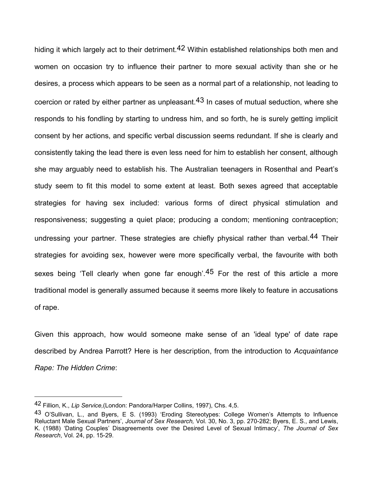hiding it which largely act to their detriment.<sup>42</sup> Within established relationships both men and women on occasion try to influence their partner to more sexual activity than she or he desires, a process which appears to be seen as a normal part of a relationship, not leading to coercion or rated by either partner as unpleasant.  $43$  In cases of mutual seduction, where she responds to his fondling by starting to undress him, and so forth, he is surely getting implicit consent by her actions, and specific verbal discussion seems redundant. If she is clearly and consistently taking the lead there is even less need for him to establish her consent, although she may arguably need to establish his. The Australian teenagers in Rosenthal and Peart"s study seem to fit this model to some extent at least. Both sexes agreed that acceptable strategies for having sex included: various forms of direct physical stimulation and responsiveness; suggesting a quiet place; producing a condom; mentioning contraception; undressing your partner. These strategies are chiefly physical rather than verbal.<sup>44</sup> Their strategies for avoiding sex, however were more specifically verbal, the favourite with both sexes being 'Tell clearly when gone far enough'. $45$  For the rest of this article a more traditional model is generally assumed because it seems more likely to feature in accusations of rape.

Given this approach, how would someone make sense of an 'ideal type' of date rape described by Andrea Parrott? Here is her description, from the introduction to *Acquaintance Rape: The Hidden Crime*:

<sup>42</sup> Fillion, K., *Lip Service,*(London: Pandora/Harper Collins, 1997), Chs. 4,5.

<sup>43</sup> O'Sullivan, L., and Byers, E S. (1993) 'Eroding Stereotypes: College Women's Attempts to Influence Reluctant Male Sexual Partners", *Journal of Sex Research,* Vol. 30, No. 3, pp. 270-282; Byers, E. S., and Lewis, K. (1988) "Dating Couples" Disagreements over the Desired Level of Sexual Intimacy", *The Journal of Sex Research*, Vol. 24, pp. 15-29.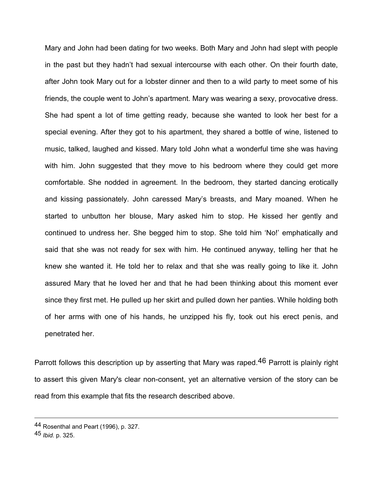Mary and John had been dating for two weeks. Both Mary and John had slept with people in the past but they hadn"t had sexual intercourse with each other. On their fourth date, after John took Mary out for a lobster dinner and then to a wild party to meet some of his friends, the couple went to John"s apartment. Mary was wearing a sexy, provocative dress. She had spent a lot of time getting ready, because she wanted to look her best for a special evening. After they got to his apartment, they shared a bottle of wine, listened to music, talked, laughed and kissed. Mary told John what a wonderful time she was having with him. John suggested that they move to his bedroom where they could get more comfortable. She nodded in agreement. In the bedroom, they started dancing erotically and kissing passionately. John caressed Mary"s breasts, and Mary moaned. When he started to unbutton her blouse, Mary asked him to stop. He kissed her gently and continued to undress her. She begged him to stop. She told him "No!" emphatically and said that she was not ready for sex with him. He continued anyway, telling her that he knew she wanted it. He told her to relax and that she was really going to like it. John assured Mary that he loved her and that he had been thinking about this moment ever since they first met. He pulled up her skirt and pulled down her panties. While holding both of her arms with one of his hands, he unzipped his fly, took out his erect penis, and penetrated her.

Parrott follows this description up by asserting that Mary was raped.46 Parrott is plainly right to assert this given Mary's clear non-consent, yet an alternative version of the story can be read from this example that fits the research described above.

<sup>44</sup> Rosenthal and Peart (1996), p. 327.

<sup>45</sup> *Ibid.* p. 325.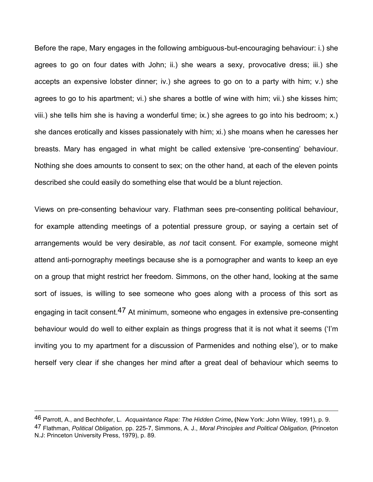Before the rape, Mary engages in the following ambiguous-but-encouraging behaviour: i.) she agrees to go on four dates with John; ii.) she wears a sexy, provocative dress; iii.) she accepts an expensive lobster dinner; iv.) she agrees to go on to a party with him; v.) she agrees to go to his apartment; vi.) she shares a bottle of wine with him; vii.) she kisses him; viii.) she tells him she is having a wonderful time; ix.) she agrees to go into his bedroom; x.) she dances erotically and kisses passionately with him; xi.) she moans when he caresses her breasts. Mary has engaged in what might be called extensive "pre-consenting" behaviour. Nothing she does amounts to consent to sex; on the other hand, at each of the eleven points described she could easily do something else that would be a blunt rejection.

Views on pre-consenting behaviour vary. Flathman sees pre-consenting political behaviour, for example attending meetings of a potential pressure group, or saying a certain set of arrangements would be very desirable, as *not* tacit consent. For example, someone might attend anti-pornography meetings because she is a pornographer and wants to keep an eye on a group that might restrict her freedom. Simmons, on the other hand, looking at the same sort of issues, is willing to see someone who goes along with a process of this sort as engaging in tacit consent.47 At minimum, someone who engages in extensive pre-consenting behaviour would do well to either explain as things progress that it is not what it seems ('I'm inviting you to my apartment for a discussion of Parmenides and nothing else"), or to make herself very clear if she changes her mind after a great deal of behaviour which seems to

<sup>46</sup> Parrott, A., and Bechhofer, L. *Acquaintance Rape: The Hidden Crime***, (**New York: John Wiley, 1991), p. 9. 47 Flathman, *Political Obligation,* pp. 225-7, Simmons, A. J., *Moral Principles and Political Obligation,* **(**Princeton N.J: Princeton University Press, 1979), p. 89.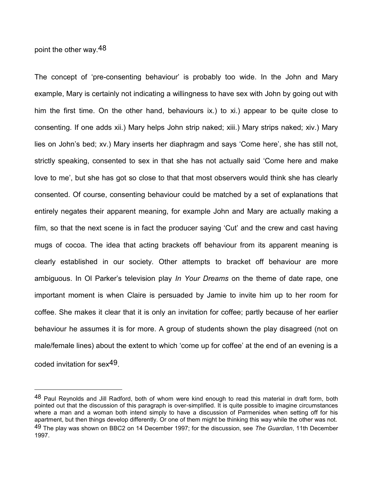point the other way.<sup>48</sup>

 $\overline{a}$ 

The concept of "pre-consenting behaviour" is probably too wide. In the John and Mary example, Mary is certainly not indicating a willingness to have sex with John by going out with him the first time. On the other hand, behaviours ix.) to xi.) appear to be quite close to consenting. If one adds xii.) Mary helps John strip naked; xiii.) Mary strips naked; xiv.) Mary lies on John"s bed; xv.) Mary inserts her diaphragm and says "Come here", she has still not, strictly speaking, consented to sex in that she has not actually said "Come here and make love to me", but she has got so close to that that most observers would think she has clearly consented. Of course, consenting behaviour could be matched by a set of explanations that entirely negates their apparent meaning, for example John and Mary are actually making a film, so that the next scene is in fact the producer saying "Cut" and the crew and cast having mugs of cocoa. The idea that acting brackets off behaviour from its apparent meaning is clearly established in our society. Other attempts to bracket off behaviour are more ambiguous. In Ol Parker"s television play *In Your Dreams* on the theme of date rape, one important moment is when Claire is persuaded by Jamie to invite him up to her room for coffee. She makes it clear that it is only an invitation for coffee; partly because of her earlier behaviour he assumes it is for more. A group of students shown the play disagreed (not on male/female lines) about the extent to which "come up for coffee" at the end of an evening is a coded invitation for sex49.

<sup>48</sup> Paul Reynolds and Jill Radford, both of whom were kind enough to read this material in draft form, both pointed out that the discussion of this paragraph is over-simplified. It is quite possible to imagine circumstances where a man and a woman both intend simply to have a discussion of Parmenides when setting off for his apartment, but then things develop differently. Or one of them might be thinking this way while the other was not. 49 The play was shown on BBC2 on 14 December 1997; for the discussion, see *The Guardian*, 11th December 1997.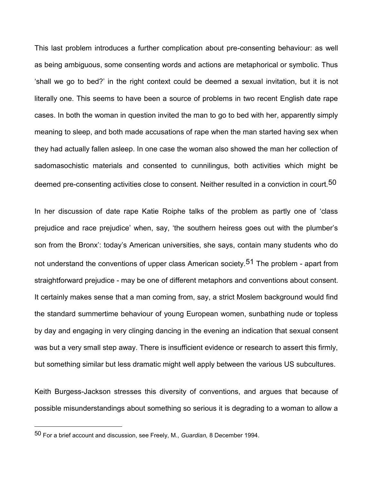This last problem introduces a further complication about pre-consenting behaviour: as well as being ambiguous, some consenting words and actions are metaphorical or symbolic. Thus "shall we go to bed?" in the right context could be deemed a sexual invitation, but it is not literally one. This seems to have been a source of problems in two recent English date rape cases. In both the woman in question invited the man to go to bed with her, apparently simply meaning to sleep, and both made accusations of rape when the man started having sex when they had actually fallen asleep. In one case the woman also showed the man her collection of sadomasochistic materials and consented to cunnilingus, both activities which might be deemed pre-consenting activities close to consent. Neither resulted in a conviction in court.<sup>50</sup>

In her discussion of date rape Katie Roiphe talks of the problem as partly one of "class prejudice and race prejudice" when, say, "the southern heiress goes out with the plumber"s son from the Bronx': today's American universities, she says, contain many students who do not understand the conventions of upper class American society.<sup>51</sup> The problem - apart from straightforward prejudice - may be one of different metaphors and conventions about consent. It certainly makes sense that a man coming from, say, a strict Moslem background would find the standard summertime behaviour of young European women, sunbathing nude or topless by day and engaging in very clinging dancing in the evening an indication that sexual consent was but a very small step away. There is insufficient evidence or research to assert this firmly, but something similar but less dramatic might well apply between the various US subcultures.

Keith Burgess-Jackson stresses this diversity of conventions, and argues that because of possible misunderstandings about something so serious it is degrading to a woman to allow a

<sup>50</sup> For a brief account and discussion, see Freely, M., *Guardian,* 8 December 1994.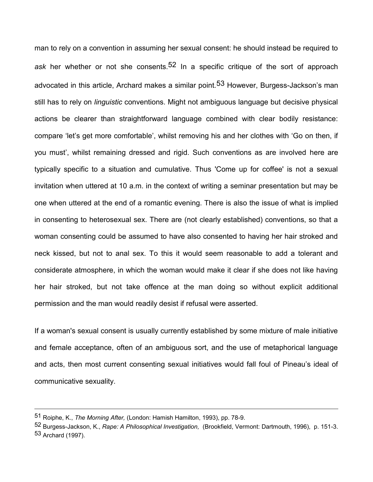man to rely on a convention in assuming her sexual consent: he should instead be required to *ask* her whether or not she consents.52 In a specific critique of the sort of approach advocated in this article, Archard makes a similar point.<sup>53</sup> However, Burgess-Jackson's man still has to rely on *linguistic* conventions. Might not ambiguous language but decisive physical actions be clearer than straightforward language combined with clear bodily resistance: compare "let"s get more comfortable", whilst removing his and her clothes with "Go on then, if you must", whilst remaining dressed and rigid. Such conventions as are involved here are typically specific to a situation and cumulative. Thus 'Come up for coffee' is not a sexual invitation when uttered at 10 a.m. in the context of writing a seminar presentation but may be one when uttered at the end of a romantic evening. There is also the issue of what is implied in consenting to heterosexual sex. There are (not clearly established) conventions, so that a woman consenting could be assumed to have also consented to having her hair stroked and neck kissed, but not to anal sex. To this it would seem reasonable to add a tolerant and considerate atmosphere, in which the woman would make it clear if she does not like having her hair stroked, but not take offence at the man doing so without explicit additional permission and the man would readily desist if refusal were asserted.

If a woman's sexual consent is usually currently established by some mixture of male initiative and female acceptance, often of an ambiguous sort, and the use of metaphorical language and acts, then most current consenting sexual initiatives would fall foul of Pineau"s ideal of communicative sexuality.

<sup>51</sup> Roiphe, K., *The Morning After,* (London: Hamish Hamilton, 1993), pp. 78-9.

<sup>52</sup> Burgess-Jackson, K., *Rape: A Philosophical Investigation,* (Brookfield, Vermont: Dartmouth, 1996), p. 151-3. 53 Archard (1997).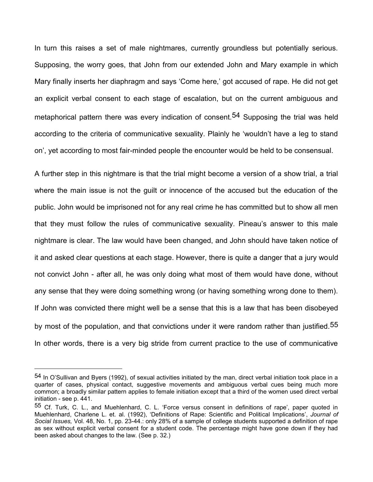In turn this raises a set of male nightmares, currently groundless but potentially serious. Supposing, the worry goes, that John from our extended John and Mary example in which Mary finally inserts her diaphragm and says 'Come here,' got accused of rape. He did not get an explicit verbal consent to each stage of escalation, but on the current ambiguous and metaphorical pattern there was every indication of consent.<sup>54</sup> Supposing the trial was held according to the criteria of communicative sexuality. Plainly he "wouldn"t have a leg to stand on", yet according to most fair-minded people the encounter would be held to be consensual.

A further step in this nightmare is that the trial might become a version of a show trial, a trial where the main issue is not the guilt or innocence of the accused but the education of the public. John would be imprisoned not for any real crime he has committed but to show all men that they must follow the rules of communicative sexuality. Pineau"s answer to this male nightmare is clear. The law would have been changed, and John should have taken notice of it and asked clear questions at each stage. However, there is quite a danger that a jury would not convict John - after all, he was only doing what most of them would have done, without any sense that they were doing something wrong (or having something wrong done to them). If John was convicted there might well be a sense that this is a law that has been disobeyed by most of the population, and that convictions under it were random rather than justified.<sup>55</sup> In other words, there is a very big stride from current practice to the use of communicative

<sup>54</sup> In O'Sullivan and Byers (1992), of sexual activities initiated by the man, direct verbal initiation took place in a quarter of cases, physical contact, suggestive movements and ambiguous verbal cues being much more common; a broadly similar pattern applies to female initiation except that a third of the women used direct verbal initiation - see p. 441.

<sup>55</sup> Cf. Turk, C. L., and Muehlenhard, C. L. 'Force versus consent in definitions of rape', paper quoted in Muehlenhard, Charlene L. et. al. (1992), "Definitions of Rape: Scientific and Political Implications", *Journal of Social Issues,* Vol. 48, No. 1, pp. 23-44.: only 28% of a sample of college students supported a definition of rape as sex without explicit verbal consent for a student code. The percentage might have gone down if they had been asked about changes to the law. (See p. 32.)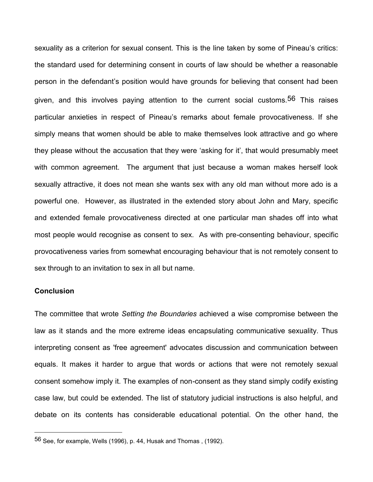sexuality as a criterion for sexual consent. This is the line taken by some of Pineau's critics: the standard used for determining consent in courts of law should be whether a reasonable person in the defendant"s position would have grounds for believing that consent had been given, and this involves paying attention to the current social customs.<sup>56</sup> This raises particular anxieties in respect of Pineau"s remarks about female provocativeness. If she simply means that women should be able to make themselves look attractive and go where they please without the accusation that they were "asking for it", that would presumably meet with common agreement. The argument that just because a woman makes herself look sexually attractive, it does not mean she wants sex with any old man without more ado is a powerful one. However, as illustrated in the extended story about John and Mary, specific and extended female provocativeness directed at one particular man shades off into what most people would recognise as consent to sex. As with pre-consenting behaviour, specific provocativeness varies from somewhat encouraging behaviour that is not remotely consent to sex through to an invitation to sex in all but name.

### **Conclusion**

 $\overline{a}$ 

The committee that wrote *Setting the Boundaries* achieved a wise compromise between the law as it stands and the more extreme ideas encapsulating communicative sexuality. Thus interpreting consent as 'free agreement' advocates discussion and communication between equals. It makes it harder to argue that words or actions that were not remotely sexual consent somehow imply it. The examples of non-consent as they stand simply codify existing case law, but could be extended. The list of statutory judicial instructions is also helpful, and debate on its contents has considerable educational potential. On the other hand, the

 $56$  See, for example, Wells (1996), p. 44, Husak and Thomas, (1992).